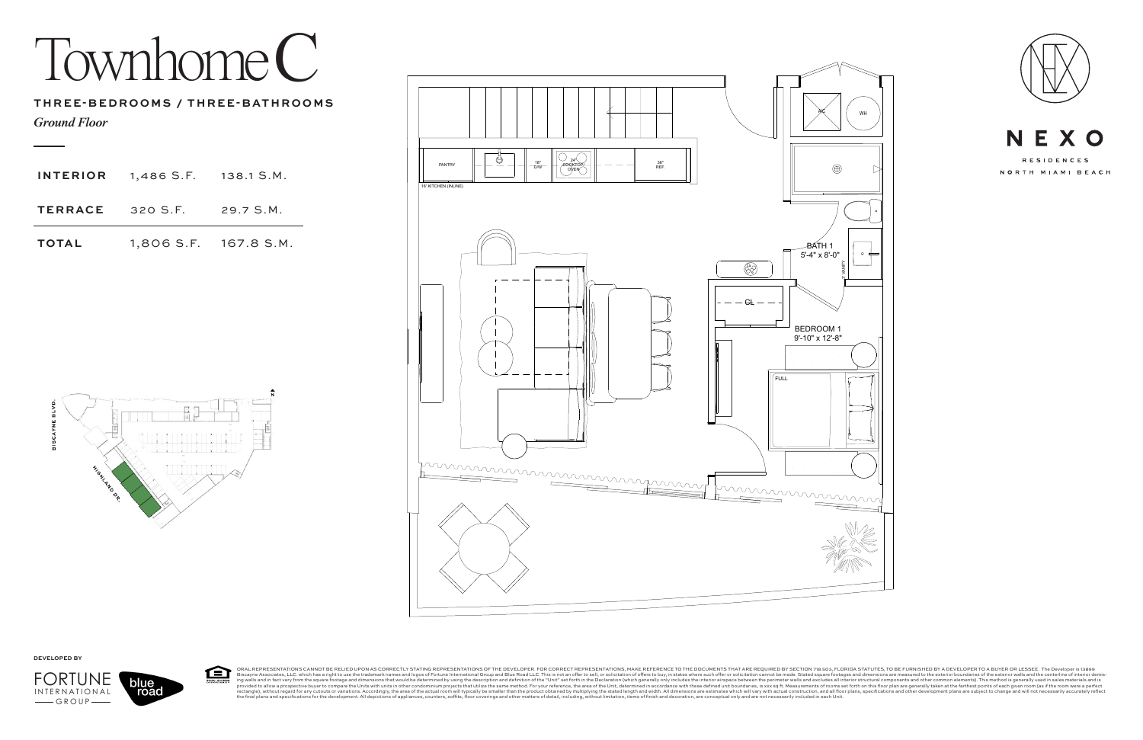## Townhome C



ORAL REPRESENTATIONS CANNOT BE RELIED UPON AS CORRECTLY STATING REPRESENTATIONS OF THE DEVELOPER. FOR CORRECT REPRESENTATIONS, MAKE REFERENCE TO THE DOCUMENTS THAT ARE REQUIRED BY SECTION 718.503, FLORIDA STATUTES, TO BE F 臼 STATING RE<br>I logos of For Bisqueme and infast a relative these aright to use the trademark names and logos of Fortune International Group will typically be same from the signes of the exter investors. According the description of the "Unit" set of be determined by us<br>r condominium proje





**DEVELOPED BY**

*Ground Floor*

## **THREE-BEDROOMS / THREE-BATHROOMS**



| <b>TERRACE</b> 320 S.F.                   | $29.7$ S.M. |
|-------------------------------------------|-------------|
| <b>INTERIOR</b> $1,486$ S.F. $138.1$ S.M. |             |

**TOTAL** 1,806 S.F. 167.8 S.M.



road